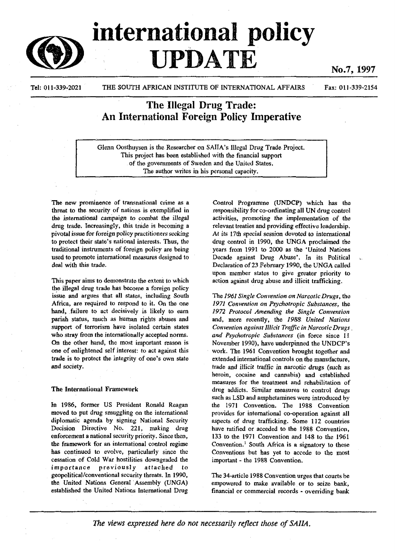

# international policy UPDATE

No.7, 1997

Tel: 011-339-2021 THE SOUTH AFRICAN INSTITUTE OF INTERNATIONAL AFFAIRS

Fax: 011-339-2154

## The Illegal Drug Trade: An International Foreign Policy Imperative

Glenn Oosthuysen is the Researcher on SAIIA's Illegal Drug Trade Project. This project has been established with the financial support of the governments of Sweden and the United States. The author writes in his personal capacity.

The new prominence of transnational ciime as a threat to the security of nations is exemplified in the international campaign to combat the illegal drug trade. Increasingly, this trade is becoming a pivotal issue for foreign policy practitioners seeking to protect their state's national interests. Thus, the traditional instruments of foreign policy are being used to promote international measures designed to deal with this trade.

This paper aims to demonstrate the extent to which the illegal drug trade has become a foreign policy issue and argues that all states, including South Africa, are required to respond to it. On the one hand, failure to act decisively is likely to earn pariah status, much as human rights abuses and support of terrorism have isolated certain states who stray from the internationally accepted norms. On the other hand, the most important reason is one of enlightened self interest: to act against this trade is to protect the integrity of one's own state and society.

### The International Framework

In 1986, former US President Ronald Reagan moved to put drug smuggling on the international diplomatic agenda by signing National Security Decision Directive No. 221, making drug enforcement a national security priority. Since then, the framework for an international control regime has continued to evolve, particularly since the cessation of Cold War hostilities downgraded the importance previously attached to geopolitical/conventional security threats. In 1990, the United Nations General Assembly (UNGA) established the United Nations International Drug

Control Programme (UNDCP) which has the responsibility for co-ordinating all UN drug control activities, promoting the implementation of the relevant treaties and providing effective leadership. *At its* 17th special session devoted to international drug control in 1990, the UNGA proclaimed the years from 1991 to 2000 as the 'United Nations Decade against Drug Abuse'. In its Political Declaration of 23 February 1990, the UNGA called upon member states to give greater priority to action against drug abuse and illicit trafficking.

The 796/ *Single Convention on Narcotic Drugs,* the *1971 Convention on Psychotropic Substances,* the *1972 Protocol Amending the Single Convention* and, more recently, the *1988 United Nations Convention against Illicit Traffic in Narcotic Drugs*. *and Psychotropic Substances* (in force since II November 1990), have underpinned the UNDCP's work. The 1961 Convention brought together and extended international controls on the manufacture, trade and illicit traffic in narcotic drugs (such as heroin, cocaine and cannabis) and established measures for the treatment and rehabilitation of drug addicts. Similar measures to control drugs such as LSD and amphetamines were introduced by the 1971 Convention. The 1988 Convention provides for international co-operation against all aspects of drug trafficking. Some 112 countries have ratified or acceded to the 1988 Convention, 133 to the 1971 Convention and 148 to the 1961 Convention.<sup>1</sup> South Africa is a signatory to these Conventions but has yet to accede to the most important - the 1988 Convention.

The 34-article 1988 Convention urges that courts be empowered to make available or to seize bank, financial or commercial records - overriding bank

The views expressed here do not necessarily reflect those of SAIIA.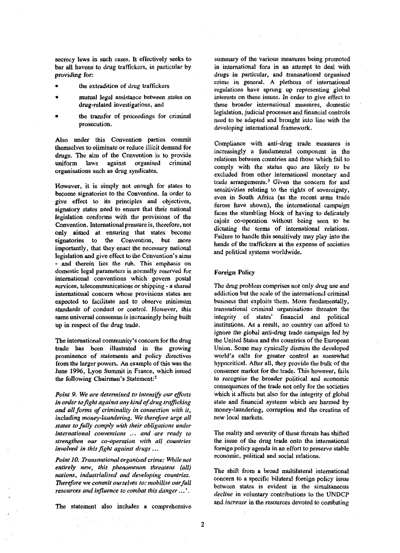secrecy laws in such cases. It effectively seeks to bar all havens to drug traffickers, in particular by providing for:

- the extradition of drug traffickers
- mutual legal assistance between states on drug-related investigations, and
- the transfer of proceedings for criminal prosecution.

Also under this Convention parties commit themselves to eliminate or reduce illicit demand for drugs. The aim of the Convention is to provide uniform laws against organised criminal organisations such as drug syndicates.

However, it is simply not enough for states to become signatories to the Convention. In order to give effect to its principles and objectives, signatory states need to ensure that their national legislation conforms with the provisions of the Convention. International pressure is, therefore, not only aimed at ensuring that states become signatories to the Convention, but more importantly, that they enact the necessary national legislation and give effect to the Convention's aims - and therein lies the rub. This emphasis on domestic legal parameters is normally reserved for international conventions which govern postal services, telecommunications or shipping - a shared international concern whose provisions states are expected to facilitate and to observe minimum standards of conduct or control. However, this same universal consensus is increasingly being built up in respect of the drug trade.

The international community's concern for the drug trade has been illustrated in the growing prominence of statements and policy directives from the larger powers. An example of this was the June 1996, Lyon Summit in France, which issued the following Chairman's Statement:<sup>2</sup>

*Point 9. We are determined to intensify our efforts in order to fight against any kind of drug trafficking and all forms of criminality in connection with it, including money-laundering. We therefore urge all states to fully comply with their obligations under international conventions ... and are ready to strengthen our co-operation with all countries involved in this fight against drugs* ...

*Point 10. Transnational organised crime: While not entirely new, this phenomenon threatens (all) nations, industrialised and developing countries. Therefore we commit ourselves to: mobilise our full resources and influence to combat this danger*...'.

The statement also includes a comprehensive

summary of the various measures being promoted in international fora in an attempt to deal with drugs in particular, and transnational organised crime in general. A plethora of international regulations have sprung up representing global interests on these issues. In order to give effect to these broader international measures, domestic legislation, judicial processes and financial controls need to be adapted and brought into line with the developing international framework.

Compliance with anti-drug trade measures is increasingly a fundamental component in the relations between countries and those which fail to comply with the status quo are likely to be excluded from other international monetary and trade arrangements.<sup>3</sup> Given the concern for and sensitivities relating to the rights of sovereignty, even in South Africa (as the recent arms trade furore have shown), the international campaign faces the stumbling block of having to delicately cajole co-operation without being seen to be dictating the terms of international relations. Failure to handle this sensitively may play into the hands of the traffickers at the expense of societies and political systems worldwide.

#### Foreign Policy

The drug problem comprises not only drug use and addiction but the scale of the international criminal business that exploits them. More fundamentally, transnational criminal organisations threaten the integrity of states' financial and political institutions. As a result, no country can afford to ignore the global anti-drug trade campaign led by the United States and the countries of the European Union. Some may cynically dismiss the developed world's calls for greater control as somewhat hypocritical. After all, they provide the bulk of the consumer market for the trade. This however, fails to recognise the broader political and economic consequences of the trade not only for the societies which it affects but also for the integrity of global state and financial systems which are harmed by money-laundering, corruption and the creation of new local markets.

The reality and severity of these threats has shifted the issue of the drug trade onto the international foreign policy agenda in an effort to preserve stable economic, political and social relations.

The shift from a broad multilateral international concern to a specific bilateral foreign policy issue between states is evident in the simultaneous *decline* in voluntary contributions to the UNDCP and *increase* in the resources devoted to combating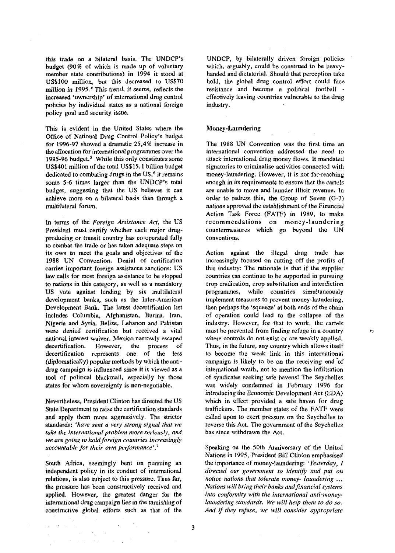this trade *on* a bilateral basis. The UNDCP\*s budget (90% of which is made up of voluntary member state contributions) in 1994 it stood at US\$100 million, but this decreased to US\$70 million in 1995.*\** This trend, it seems, reflects the increased 'ownership' of international drug control policies by individual states as a national foreign policy goal and security issue.

This is evident in the United States where the Office of National Drug Control Policy's budget for 1996-97 showed a dramatic 25,4% increase in the allocation for international programmes over the 1995-96 budget.<sup>5</sup> While this only constitutes some US\$401 million of the total US\$15.1 billion budget dedicated to combating drugs in the US,<sup>6</sup> it remains some *5-6* times larger than the UNDCP's total budget, suggesting that the US believes it can achieve more on a bilateral basis than through a multilateral forum.

In terms of the *Foreign Assistance Act,* the US President must certify whether each major drugproducing or transit country has co-operated fully to combat the trade or has taken adequate steps on its own to meet the goals and objectives of the 1988 UN Convention. Denial of certification carries important foreign assistance sanctions: US law calls for most foreign assistance to be stopped to nations in this category, as well as a mandatory US vote against lending by six multilateral development banks, such as the Inter-American Development Bank. The latest decertification list includes Columbia, Afghanistan, Burma, Iran, Nigeria and Syria. Belize, Lebanon and Pakistan were denied certification but received a vital national interest waiver. Mexico narrowly escaped decertification. However, the process of decertification represents one of the less (diplomatically) popular methods by which the antidependencently popular memors by which means to the political blackmail, especially by those those tool of political blackmail, especially by those states for whom sovereignty is non-negotiable.

Nevertheless, President Clinton has directed the US State Department to raise the certification standards and apply them more aggressively. The stricter standards: *'have sent a very strong signal that we take the international problem more seriously, and we are going to hold foreign countries increasingly accountable for their own performance\*.<sup>7</sup>*

South Africa, seemingly bent on pursuing an independent policy in its conduct of international relations, is also subject to this pressure. Thus far, the pressure has been constructively received and applied. However, the greatest danger for the international drug campaign lies in the tarnishing of constructive global efforts such as that of the

**Contractor** 

 $\mathcal{L}(\mathcal{H})$  and  $\mathcal{L}(\mathcal{H})$  are  $\mathcal{L}(\mathcal{H})$  . In the  $\mathcal{L}(\mathcal{H})$  $\mathcal{L} = \frac{1}{2} \left( \mathcal{L} \right) \left( \mathcal{L} \right)$  ,  $\mathcal{L} \left( \mathcal{L} \right)$ 

UNDCP, by bilaterally driven foreign policies which, arguably, could be construed to be heavyhanded and dictatorial. Should that perception take hold, the global drug control effort could face resistance and become a political football effectively leaving countries vulnerable to the drug industry.

#### Money-Laundering

The 1988 UN Convention was the first time an international convention addressed the need *to* attack international drug money flows. It mandated signatories to criminalise activities connected with money-laundering. However, it is not far-reaching enough in its requirements to ensure that the cartels are unable to move and launder illicit revenue. In order to redress this, the Group of Seven (G-7) nations approved the establishment of the Financial Action Task Force (FATF) in 1989, to make recommendations on money-laundering countermeasures which go beyond the UN conventions.

Action against the illegal drug trade has increasingly focused on cutting off the profits of this industry: The rationale is that if the supplier countries can continue to be supported in pursuing crop eradication, crop substitution and interdiction programmes, while countries simultaneously implement measures to prevent money-laundering, then perhaps the 'squeeze' at both ends of the chain of operation could lead to the collapse of the industry. However, for that to work, the cartels must be prevented from finding refuge in a country where controls do not exist or are weakly applied. Thus, in the future, any country which allows itself to become the weak link in this international campaign is likely to be on the receiving end of international wrath, not to mention the infiltration of syndicates seeking safe havens! The Seychelles was widely condemned in February 1996 for introducing the Economic Development Act (EDA) which in effect provided a safe haven for drug traffickers. The member states of the FATF were called upon to exert pressure on the Seychelles to reverse this Act. The government of the Seychelles has since withdrawn the Act.

Speaking on the 50th Anniversary of the United Nations in 1995, President Bill Clinton emphasised the importance of money-laundering: ' *Yesterday, I directed our government to identify and put on notice nations that tolerate money- laundering .*.. *Nations will bring their banks and financial systems into conformity with the international anti-moneylaundering standards. We will help them to do so. And if they refuse, we will consider appropriate*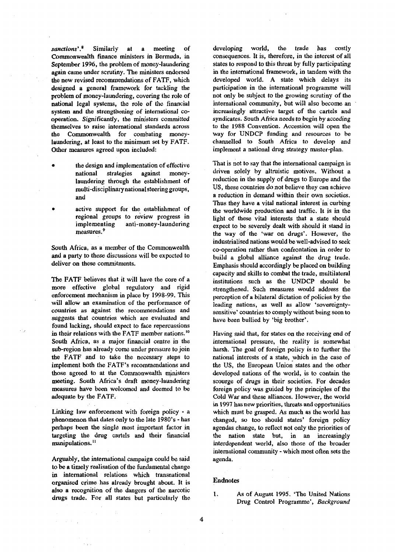*sanctions\*.<sup>8</sup>* Similarly at a meeting of Commonwealth finance ministers in Bermuda, in September 1996, the problem of money-laundering again came under scrutiny. The ministers endorsed the new revised recommendations of FATF, which designed a general framework for tackling the problem of money-laundering, covering the role of national legal systems, the role of the financial system and the strengthening of international cooperation. Significantly, the ministers committed themselves to raise international standards across the Commonwealth for combating moneylaundering, at least to the minimum set by FATF. Other measures agreed upon included:

- the design and implementation of effective national strategies against moneylaundering through the establishment of multi-disciplinary national steering groups, and
- active support for the establishment of regional groups to review progress in implementing anti-money-laundering measures.<sup>9</sup>

South Africa, as a member of the Commonwealth and a party to these discussions will be expected to deliver on these commitments.

The FATF believes that it will have the core of a more effective global regulatory and rigid enforcement mechanism in place by 1998-99. This will allow an examination of the performance of countries as against the recommendations and suggests that countries which are evaluated and found lacking, should expect to face repercussions in their relations with the FATF member nations.<sup>10</sup> South Africa, as a major financial centre in the sub-region has already come under pressure to join the FATF and to take the necessary steps to implement both the FATF's recommendations and those agreed to at the Commonwealth ministers meeting. South Africa's draft money-laundering measures have been welcomed and deemed to be adequate by the FATF.

Linking law enforcement with foreign policy - a phenomenon that dates only to the late 1980's - has perhaps been the single most important factor in targeting the drug cartels and their financial manipulations.<sup>11</sup>

Arguably, the international campaign could be said to be a timely realisation of the fundamental change in international relations which transnational organised crime has already brought about. It is also a recognition of the dangers of the narcotic drugs trade. For all states but particularly the

developing world, the trade has costly consequences. It is, therefore, in the interest of all states to respond to this threat by fully participating in the international framework, in tandem with the developed world. A state which delays its participation in the international programme will not only be subject to the growing scrutiny of the international community, but will also become an increasingly attractive target of the cartels and syndicates. South Africa needs *to* begin by acceding to the 1988 Convention. Accession will open the way for UNDCP funding and resources to be channelled to South Africa to develop and implement a national drug strategy master-plan.

That is not to say that the international campaign is driven solely by altruistic motives. Without a reduction in the supply of drugs to Europe and the US, these countries do not believe they can achieve a reduction in demand within their own societies. Thus they have a vital national interest in curbing the worldwide production and traffic. It is in the light of these vital interests that a state should expect to be severely dealt with should it stand in the way of the 'war on drugs'. However, the industrialised nations would be well-advised to seek co-operation rather than confrontation in order to build a global alliance against the drug trade. Emphasis should accordingly be placed on building capacity and skills to combat the trade, multilateral institutions such as the UNDCP should be strengthened. Such measures would address the perception of a bilateral dictation of policies by the leading nations, as well as allow 'sovereigntysensitive' countries to comply without being seen to have been bullied by 'big brother'.

Having said that, for states on the receiving end of international pressure, the reality is somewhat harsh. The goal of foreign policy is to further the national interests of a state, which in the case of the US, the European Union states and the other developed nations of the world, is to contain the scourge of drugs in their societies. For decades foreign policy was guided by the principles of the Cold War and these alliances. However, the world in 1997 has new priorities, threats and opportunities which must be grasped. As much as the world has changed, so too should states' foreign policy agendas change, to reflect not only the priorities of the nation state but, in an increasingly interdependent world, also those of the broader international community - which most often sets the agenda.

#### Endnotes

I. As of August 1995. 'The United Nations Drug Control Programme', *Background*